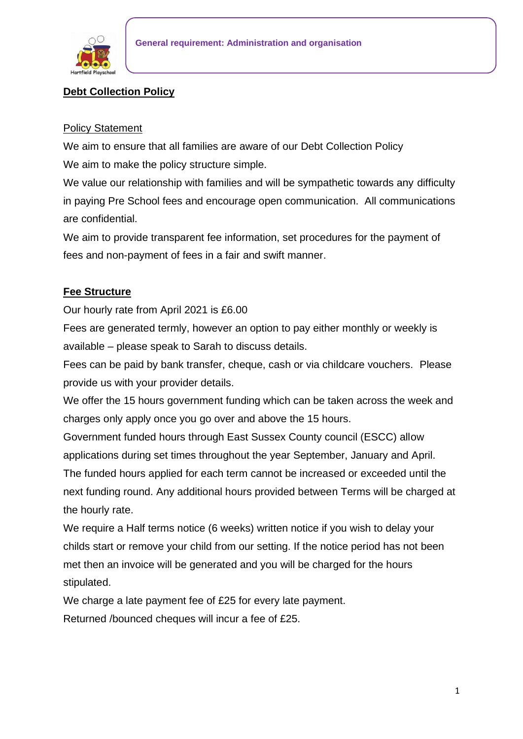

# **Debt Collection Policy**

#### Policy Statement

We aim to ensure that all families are aware of our Debt Collection Policy We aim to make the policy structure simple.

We value our relationship with families and will be sympathetic towards any difficulty in paying Pre School fees and encourage open communication. All communications are confidential.

We aim to provide transparent fee information, set procedures for the payment of fees and non-payment of fees in a fair and swift manner.

## **Fee Structure**

Our hourly rate from April 2021 is £6.00

Fees are generated termly, however an option to pay either monthly or weekly is available – please speak to Sarah to discuss details.

Fees can be paid by bank transfer, cheque, cash or via childcare vouchers. Please provide us with your provider details.

We offer the 15 hours government funding which can be taken across the week and charges only apply once you go over and above the 15 hours.

Government funded hours through East Sussex County council (ESCC) allow applications during set times throughout the year September, January and April. The funded hours applied for each term cannot be increased or exceeded until the next funding round. Any additional hours provided between Terms will be charged at the hourly rate.

We require a Half terms notice (6 weeks) written notice if you wish to delay your childs start or remove your child from our setting. If the notice period has not been met then an invoice will be generated and you will be charged for the hours stipulated.

We charge a late payment fee of £25 for every late payment. Returned /bounced cheques will incur a fee of £25.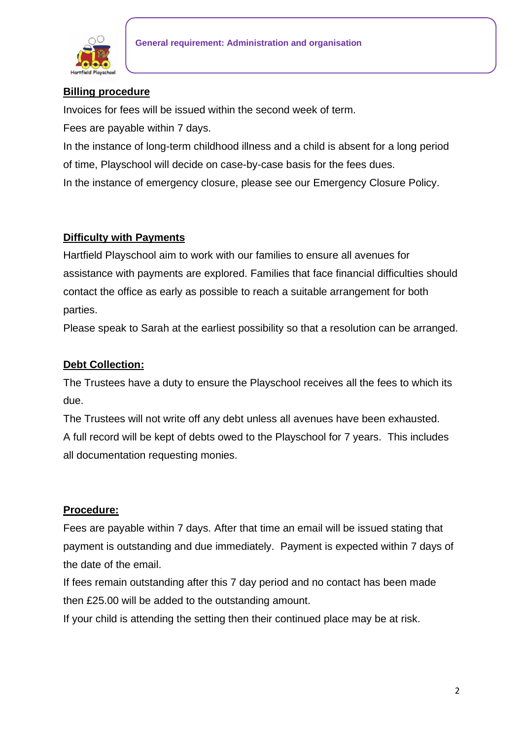

#### **Billing procedure**

Invoices for fees will be issued within the second week of term.

Fees are payable within 7 days.

In the instance of long-term childhood illness and a child is absent for a long period of time, Playschool will decide on case-by-case basis for the fees dues. In the instance of emergency closure, please see our Emergency Closure Policy.

#### **Difficulty with Payments**

Hartfield Playschool aim to work with our families to ensure all avenues for assistance with payments are explored. Families that face financial difficulties should contact the office as early as possible to reach a suitable arrangement for both parties.

Please speak to Sarah at the earliest possibility so that a resolution can be arranged.

### **Debt Collection:**

The Trustees have a duty to ensure the Playschool receives all the fees to which its due.

The Trustees will not write off any debt unless all avenues have been exhausted. A full record will be kept of debts owed to the Playschool for 7 years. This includes all documentation requesting monies.

#### **Procedure:**

Fees are payable within 7 days. After that time an email will be issued stating that payment is outstanding and due immediately. Payment is expected within 7 days of the date of the email.

If fees remain outstanding after this 7 day period and no contact has been made then £25.00 will be added to the outstanding amount.

If your child is attending the setting then their continued place may be at risk.